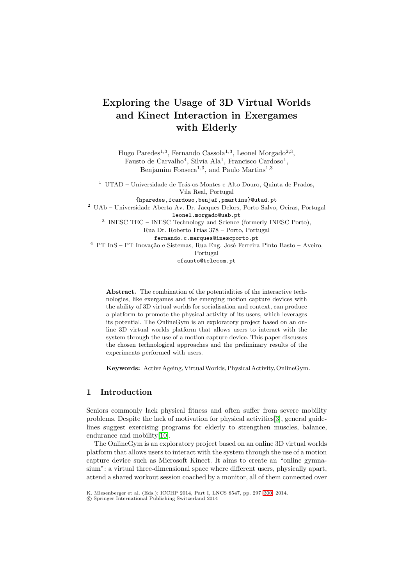# **Exploring the Usage of 3D Virtual Worlds and Kinect Interaction in Exergames with Elderly**

Hugo Paredes<sup>1,3</sup>, Fernando Cassola<sup>1,3</sup>, Leonel Morgado<sup>2,3</sup>, Fausto de Carvalho<sup>4</sup>, Silvia Ala<sup>1</sup>, Francisco Cardoso<sup>1</sup>, Benjamim Fonseca<sup>1,3</sup>, and Paulo Martins<sup>1,3</sup>

 $^{\rm 1}$ UTAD – Universidade de Trás-os-Montes e Alto Douro, Quinta de Prados, Vila Real, Portugal

{hparedes,fcardoso,benjaf,pmartins}@utad.pt

<sup>2</sup> UAb – Universidade Aberta Av. Dr. Jacques Delors, Porto Salvo, Oeiras, Portugal leonel.morgado@uab.pt

<sup>3</sup> INESC TEC – INESC Technology and Science (formerly INESC Porto),

Rua Dr. Roberto Frias 378 – Porto, Portugal

fernando.c.marques@inescporto.pt

 $^4\,$  PT In $S-$  PT Inovação e Sistemas, Rua Eng. José Ferreira Pinto Basto – Aveiro, Portugal

cfausto@telecom.pt

**Abstract.** The combination of the potentialities of the interactive technologies, like exergames and the emerging motion capture devices with the ability of 3D virtual worlds for socialisation and context, can produce a platform to promote the physical activity of its users, which leverages its potential. The OnlineGym is an exploratory project based on an online 3D virtual worlds platform that allows users to interact with the system through the use of a motion capture device. This paper discusses the chosen technological approaches and the preliminary results of the experiments performed with users.

**Keywords:** Active Ageing, VirtualWorlds,Physical Activity,OnlineGym.

## **1 Introduction**

Seniors commonly lack physical fitness and often suffer from severe mobility problems. Despite the lack of motivation for physical activities[\[3\]](#page-3-0), general guidelines suggest exercising programs for elderly to strengthen muscles, balance, endurance and mobility[\[10\]](#page-3-1).

The OnlineGym is an exploratory project based on an online 3D virtual worlds platform that allows users to interact with the system through the use of a motion capture device such as Microsoft Kinect. It aims to create an "online gymnasium": a virtual three-dimensional space where different users, physically apart, attend a shared workout session coached by a monitor, all of them connected over

K. Miesenberger et al. (Eds.): ICCHP 2014, Part I, LNCS 8547, pp. 297[–300,](#page-3-2) 2014.

<sup>-</sup>c Springer International Publishing Switzerland 2014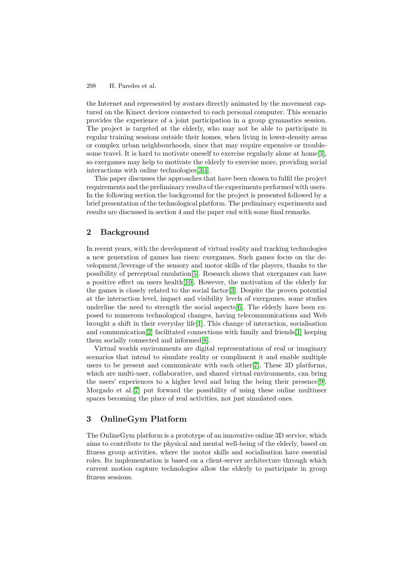#### 298 H. Paredes et al.

the Internet and represented by avatars directly animated by the movement captured on the Kinect devices connected to each personal computer. This scenario provides the experience of a joint participation in a group gymnastics session. The project is targeted at the elderly, who may not be able to participate in regular training sessions outside their homes, when living in lower-density areas or complex urban neighbourhoods, since that may require expensive or troublesome travel. It is hard to motivate oneself to exercise regularly alone at home[\[3\]](#page-3-0), so exergames may help to motivate the elderly to exercise more, providing social interactions with online technologies[\[3,](#page-3-0)[4\]](#page-3-3).

This paper discusses the approaches that have been chosen to fulfil the project requirements and the preliminary results of the experiments performed with users. In the following section the background for the project is presented followed by a brief presentation of the technological platform. The preliminary experiments and results are discussed in section 4 and the paper end with some final remarks.

#### **2 Background**

In recent years, with the development of virtual reality and tracking technologies a new generation of games has risen: exergames. Such games focus on the development/leverage of the sensory and motor skills of the players, thanks to the possibility of perceptual emulation[\[5\]](#page-3-4). Research shows that exergames can have a positive effect on users health[\[10\]](#page-3-1). However, the motivation of the elderly for the games is closely related to the social factor[\[3\]](#page-3-0). Despite the proven potential at the interaction level, impact and visibility levels of exergames, some studies underline the need to strength the social aspects[\[6\]](#page-3-5). The elderly have been exposed to numerous technological changes, having telecommunications and Web brought a shift in their everyday life[\[1\]](#page-3-6). This change of interaction, socialisation and communication[\[2\]](#page-3-7) facilitated connections with family and friends[\[1\]](#page-3-6) keeping them socially connected and informed[\[8\]](#page-3-8).

Virtual worlds environments are digital representations of real or imaginary scenarios that intend to simulate reality or compliment it and enable multiple users to be present and communicate with each other[\[7\]](#page-3-9). These 3D platforms, which are multi-user, collaborative, and shared virtual environments, can bring the users' experiences to a higher level and bring the being their presence[\[9\]](#page-3-10). Morgado et al.[\[7\]](#page-3-9) put forward the possibility of using these online multiuser spaces becoming the place of real activities, not just simulated ones.

#### **3 OnlineGym Platform**

The OnlineGym platform is a prototype of an innovative online 3D service, which aims to contribute to the physical and mental well-being of the elderly, based on fitness group activities, where the motor skills and socialisation have essential roles. Its implementation is based on a client-server architecture through which current motion capture technologies allow the elderly to participate in group fitness sessions.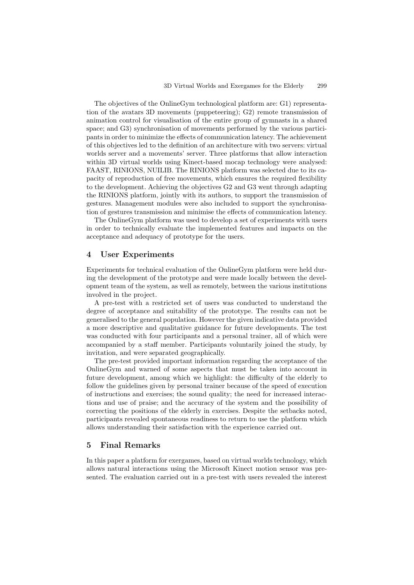The objectives of the OnlineGym technological platform are: G1) representation of the avatars 3D movements (puppeteering); G2) remote transmission of animation control for visualisation of the entire group of gymnasts in a shared space; and G3) synchronisation of movements performed by the various participants in order to minimize the effects of communication latency. The achievement of this objectives led to the definition of an architecture with two servers: virtual worlds server and a movements' server. Three platforms that allow interaction within 3D virtual worlds using Kinect-based mocap technology were analysed: FAAST, RINIONS, NUILIB. The RINIONS platform was selected due to its capacity of reproduction of free movements, which ensures the required flexibility to the development. Achieving the objectives G2 and G3 went through adapting the RINIONS platform, jointly with its authors, to support the transmission of gestures. Management modules were also included to support the synchronisation of gestures transmission and minimise the effects of communication latency.

The OnlineGym platform was used to develop a set of experiments with users in order to technically evaluate the implemented features and impacts on the acceptance and adequacy of prototype for the users.

#### **4 User Experiments**

Experiments for technical evaluation of the OnlineGym platform were held during the development of the prototype and were made locally between the development team of the system, as well as remotely, between the various institutions involved in the project.

A pre-test with a restricted set of users was conducted to understand the degree of acceptance and suitability of the prototype. The results can not be generalised to the general population. However the given indicative data provided a more descriptive and qualitative guidance for future developments. The test was conducted with four participants and a personal trainer, all of which were accompanied by a staff member. Participants voluntarily joined the study, by invitation, and were separated geographically.

The pre-test provided important information regarding the acceptance of the OnlineGym and warned of some aspects that must be taken into account in future development, among which we highlight: the difficulty of the elderly to follow the guidelines given by personal trainer because of the speed of execution of instructions and exercises; the sound quality; the need for increased interactions and use of praise; and the accuracy of the system and the possibility of correcting the positions of the elderly in exercises. Despite the setbacks noted, participants revealed spontaneous readiness to return to use the platform which allows understanding their satisfaction with the experience carried out.

### **5 Final Remarks**

In this paper a platform for exergames, based on virtual worlds technology, which allows natural interactions using the Microsoft Kinect motion sensor was presented. The evaluation carried out in a pre-test with users revealed the interest